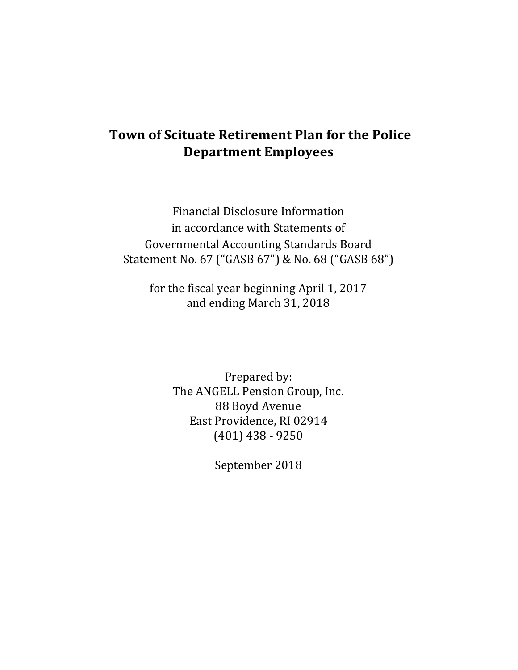# **Town of Scituate Retirement Plan for the Police Department Employees**

Financial Disclosure Information in accordance with Statements of Governmental Accounting Standards Board Statement No. 67 ("GASB 67") & No. 68 ("GASB 68")

for the fiscal year beginning April 1, 2017 and ending March 31, 2018

> Prepared by: The ANGELL Pension Group, Inc. 88 Boyd Avenue East Providence, RI 02914 (401) 438 - 9250

> > September 2018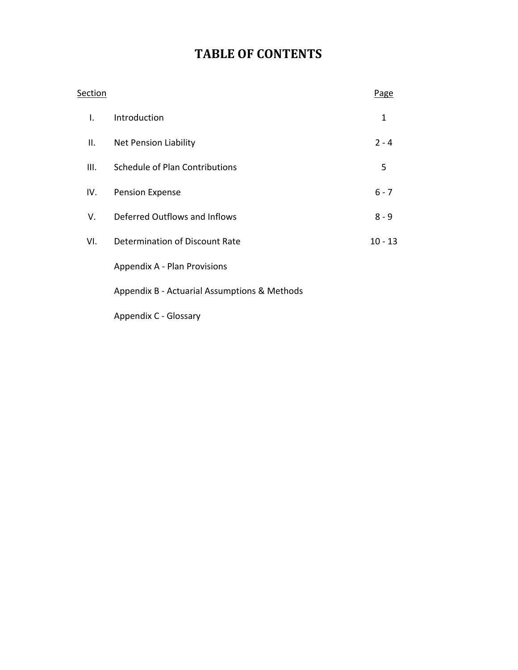# **TABLE OF CONTENTS**

| Section      |                                              | Page      |
|--------------|----------------------------------------------|-----------|
| $\mathbf{L}$ | Introduction                                 | 1         |
| II.          | Net Pension Liability                        | $2 - 4$   |
| III.         | Schedule of Plan Contributions               | 5         |
| IV.          | <b>Pension Expense</b>                       | $6 - 7$   |
| V.           | Deferred Outflows and Inflows                | $8 - 9$   |
| VI.          | Determination of Discount Rate               | $10 - 13$ |
|              | Appendix A - Plan Provisions                 |           |
|              | Appendix B - Actuarial Assumptions & Methods |           |
|              | Appendix C - Glossary                        |           |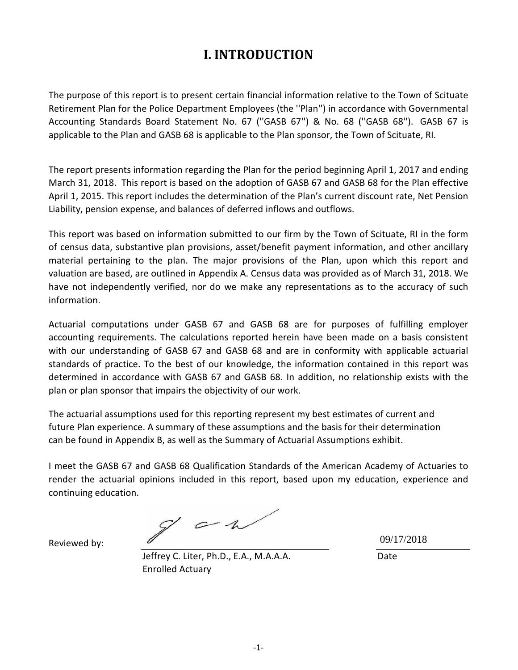## **I. INTRODUCTION**

The purpose of this report is to present certain financial information relative to the Town of Scituate Retirement Plan for the Police Department Employees (the ''Plan'') in accordance with Governmental Accounting Standards Board Statement No. 67 (''GASB 67'') & No. 68 (''GASB 68''). GASB 67 is applicable to the Plan and GASB 68 is applicable to the Plan sponsor, the Town of Scituate, RI.

The report presents information regarding the Plan for the period beginning April 1, 2017 and ending March 31, 2018. This report is based on the adoption of GASB 67 and GASB 68 for the Plan effective April 1, 2015. This report includes the determination of the Plan's current discount rate, Net Pension Liability, pension expense, and balances of deferred inflows and outflows.

This report was based on information submitted to our firm by the Town of Scituate, RI in the form of census data, substantive plan provisions, asset/benefit payment information, and other ancillary material pertaining to the plan. The major provisions of the Plan, upon which this report and valuation are based, are outlined in Appendix A. Census data was provided as of March 31, 2018. We have not independently verified, nor do we make any representations as to the accuracy of such information.

Actuarial computations under GASB 67 and GASB 68 are for purposes of fulfilling employer accounting requirements. The calculations reported herein have been made on a basis consistent with our understanding of GASB 67 and GASB 68 and are in conformity with applicable actuarial standards of practice. To the best of our knowledge, the information contained in this report was determined in accordance with GASB 67 and GASB 68. In addition, no relationship exists with the plan or plan sponsor that impairs the objectivity of our work.

The actuarial assumptions used for this reporting represent my best estimates of current and future Plan experience. A summary of these assumptions and the basis for their determination can be found in Appendix B, as well as the Summary of Actuarial Assumptions exhibit.

I meet the GASB 67 and GASB 68 Qualification Standards of the American Academy of Actuaries to render the actuarial opinions included in this report, based upon my education, experience and continuing education.

 $g^{\prime}$  and

Reviewed by:

Jeffrey C. Liter, Ph.D., E.A., M.A.A.A. Date Enrolled Actuary

09/17/2018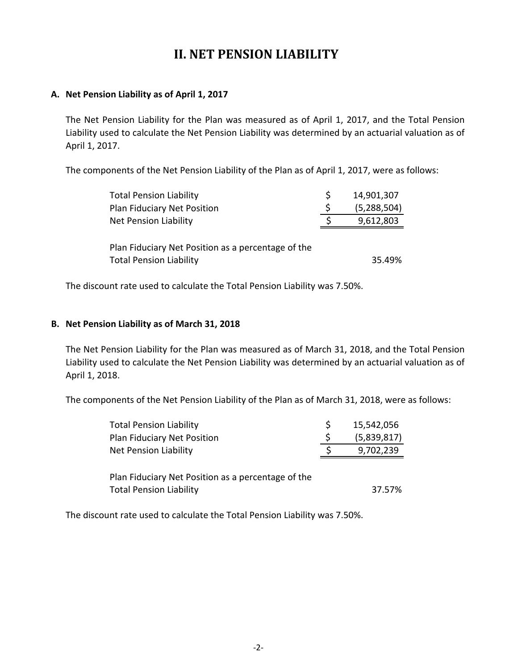## **II. NET PENSION LIABILITY**

### **A. Net Pension Liability as of April 1, 2017**

The Net Pension Liability for the Plan was measured as of April 1, 2017, and the Total Pension Liability used to calculate the Net Pension Liability was determined by an actuarial valuation as of April 1, 2017.

The components of the Net Pension Liability of the Plan as of April 1, 2017, were as follows:

| <b>Total Pension Liability</b>                     |   | 14,901,307    |
|----------------------------------------------------|---|---------------|
| Plan Fiduciary Net Position                        | S | (5, 288, 504) |
| <b>Net Pension Liability</b>                       |   | 9,612,803     |
|                                                    |   |               |
| Plan Fiduciary Net Position as a percentage of the |   |               |
| <b>Total Pension Liability</b>                     |   | 35.49%        |

The discount rate used to calculate the Total Pension Liability was 7.50%.

### **B. Net Pension Liability as of March 31, 2018**

The Net Pension Liability for the Plan was measured as of March 31, 2018, and the Total Pension Liability used to calculate the Net Pension Liability was determined by an actuarial valuation as of April 1, 2018.

The components of the Net Pension Liability of the Plan as of March 31, 2018, were as follows:

| <b>Total Pension Liability</b>                     | S | 15,542,056  |
|----------------------------------------------------|---|-------------|
| Plan Fiduciary Net Position                        | S | (5,839,817) |
| <b>Net Pension Liability</b>                       |   | 9,702,239   |
|                                                    |   |             |
| Plan Fiduciary Net Position as a percentage of the |   |             |
| <b>Total Pension Liability</b>                     |   | 37.57%      |

The discount rate used to calculate the Total Pension Liability was 7.50%.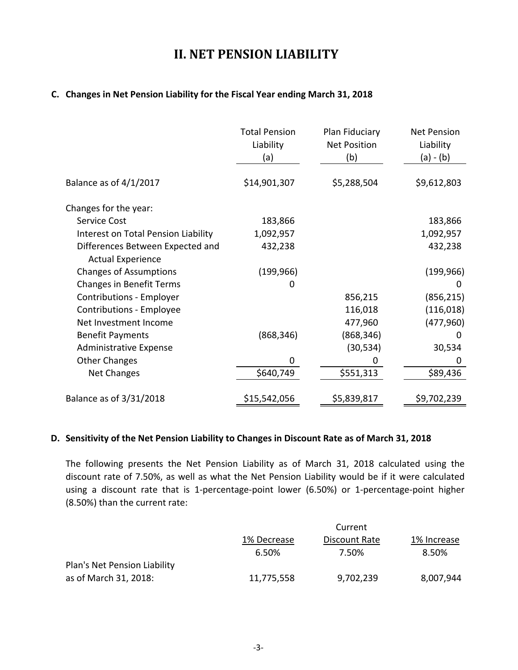## **II. NET PENSION LIABILITY**

### **C. Changes in Net Pension Liability for the Fiscal Year ending March 31, 2018**

|                                     | <b>Total Pension</b><br>Liability<br>(a) | Plan Fiduciary<br><b>Net Position</b><br>(b) | <b>Net Pension</b><br>Liability<br>(a) - (b) |
|-------------------------------------|------------------------------------------|----------------------------------------------|----------------------------------------------|
| Balance as of $4/1/2017$            | \$14,901,307                             | \$5,288,504                                  | \$9,612,803                                  |
| Changes for the year:               |                                          |                                              |                                              |
| <b>Service Cost</b>                 | 183,866                                  |                                              | 183,866                                      |
| Interest on Total Pension Liability | 1,092,957                                |                                              | 1,092,957                                    |
| Differences Between Expected and    | 432,238                                  |                                              | 432,238                                      |
| <b>Actual Experience</b>            |                                          |                                              |                                              |
| <b>Changes of Assumptions</b>       | (199, 966)                               |                                              | (199, 966)                                   |
| <b>Changes in Benefit Terms</b>     | 0                                        |                                              | 0                                            |
| Contributions - Employer            |                                          | 856,215                                      | (856, 215)                                   |
| Contributions - Employee            |                                          | 116,018                                      | (116, 018)                                   |
| Net Investment Income               |                                          | 477,960                                      | (477, 960)                                   |
| <b>Benefit Payments</b>             | (868, 346)                               | (868, 346)                                   | $\Omega$                                     |
| <b>Administrative Expense</b>       |                                          | (30, 534)                                    | 30,534                                       |
| <b>Other Changes</b>                | 0                                        | 0                                            | 0                                            |
| <b>Net Changes</b>                  | \$640,749                                | \$551,313                                    | \$89,436                                     |
| Balance as of 3/31/2018             | \$15,542,056                             | \$5,839,817                                  | \$9,702,239                                  |

#### **D. Sensitivity of the Net Pension Liability to Changes in Discount Rate as of March 31, 2018**

The following presents the Net Pension Liability as of March 31, 2018 calculated using the discount rate of 7.50%, as well as what the Net Pension Liability would be if it were calculated using a discount rate that is 1-percentage-point lower (6.50%) or 1-percentage-point higher (8.50%) than the current rate:

|                              |             | Current       |             |  |  |  |  |  |
|------------------------------|-------------|---------------|-------------|--|--|--|--|--|
|                              | 1% Decrease | Discount Rate | 1% Increase |  |  |  |  |  |
|                              | 6.50%       | 7.50%         | 8.50%       |  |  |  |  |  |
| Plan's Net Pension Liability |             |               |             |  |  |  |  |  |
| as of March 31, 2018:        | 11,775,558  | 9,702,239     | 8,007,944   |  |  |  |  |  |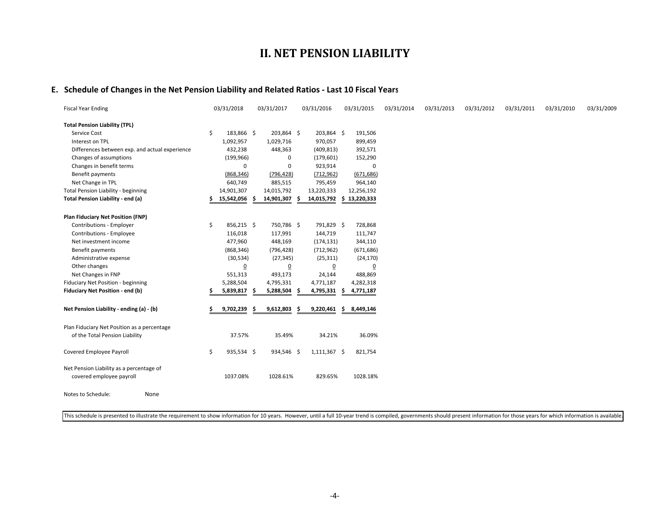### **II. NET PENSION LIABILITY**

#### **E. Schedule of Changes in the Net Pension Liability and Related Ratios - Last 10 Fiscal Years**

| <b>Fiscal Year Ending</b>                                                     | 03/31/2018 |                | 03/31/2017     |     | 03/31/2016     |    | 03/31/2015     | 03/31/2014 | 03/31/2013 | 03/31/2012 | 03/31/2011 | 03/31/2010 | 03/31/2009 |
|-------------------------------------------------------------------------------|------------|----------------|----------------|-----|----------------|----|----------------|------------|------------|------------|------------|------------|------------|
| <b>Total Pension Liability (TPL)</b>                                          |            |                |                |     |                |    |                |            |            |            |            |            |            |
| Service Cost                                                                  | \$         | 183,866 \$     | 203,864 \$     |     | 203,864 \$     |    | 191,506        |            |            |            |            |            |            |
| Interest on TPL                                                               |            | 1,092,957      | 1,029,716      |     | 970,057        |    | 899,459        |            |            |            |            |            |            |
| Differences between exp. and actual experience                                |            | 432,238        | 448,363        |     | (409, 813)     |    | 392,571        |            |            |            |            |            |            |
| Changes of assumptions                                                        |            | (199, 966)     | 0              |     | (179, 601)     |    | 152,290        |            |            |            |            |            |            |
| Changes in benefit terms                                                      |            | 0              | 0              |     | 923,914        |    | 0              |            |            |            |            |            |            |
| Benefit payments                                                              |            | (868, 346)     | (796, 428)     |     | (712, 962)     |    | (671, 686)     |            |            |            |            |            |            |
| Net Change in TPL                                                             |            | 640,749        | 885,515        |     | 795,459        |    | 964,140        |            |            |            |            |            |            |
| <b>Total Pension Liability - beginning</b>                                    | 14,901,307 |                | 14,015,792     |     | 13,220,333     |    | 12,256,192     |            |            |            |            |            |            |
| Total Pension Liability - end (a)                                             | 15,542,056 |                | 14,901,307     | S   | 14,015,792     |    | \$13,220,333   |            |            |            |            |            |            |
| Plan Fiduciary Net Position (FNP)                                             |            |                |                |     |                |    |                |            |            |            |            |            |            |
| Contributions - Employer                                                      | \$         | 856,215 \$     | 750,786 \$     |     | 791,829 \$     |    | 728,868        |            |            |            |            |            |            |
| Contributions - Employee                                                      |            | 116,018        | 117,991        |     | 144,719        |    | 111,747        |            |            |            |            |            |            |
| Net investment income                                                         |            | 477,960        | 448,169        |     | (174, 131)     |    | 344,110        |            |            |            |            |            |            |
| Benefit payments                                                              |            | (868, 346)     | (796, 428)     |     | (712, 962)     |    | (671, 686)     |            |            |            |            |            |            |
| Administrative expense                                                        |            | (30, 534)      | (27, 345)      |     | (25, 311)      |    | (24, 170)      |            |            |            |            |            |            |
| Other changes                                                                 |            | $\overline{0}$ | $\overline{0}$ |     | $\overline{0}$ |    | $\overline{0}$ |            |            |            |            |            |            |
| Net Changes in FNP                                                            |            | 551,313        | 493,173        |     | 24,144         |    | 488,869        |            |            |            |            |            |            |
| Fiduciary Net Position - beginning                                            |            | 5,288,504      | 4,795,331      |     | 4,771,187      |    | 4,282,318      |            |            |            |            |            |            |
| Fiduciary Net Position - end (b)                                              |            | 5,839,817 \$   | 5,288,504      | -\$ | 4,795,331      | -S | 4,771,187      |            |            |            |            |            |            |
| Net Pension Liability - ending (a) - (b)                                      |            | 9,702,239<br>S | 9,612,803      | Ŝ   | 9,220,461      | \$ | 8,449,146      |            |            |            |            |            |            |
| Plan Fiduciary Net Position as a percentage<br>of the Total Pension Liability |            | 37.57%         | 35.49%         |     | 34.21%         |    | 36.09%         |            |            |            |            |            |            |
| Covered Employee Payroll                                                      | \$         | 935,534 \$     | 934,546 \$     |     | 1,111,367 \$   |    | 821,754        |            |            |            |            |            |            |
| Net Pension Liability as a percentage of<br>covered employee payroll          |            | 1037.08%       | 1028.61%       |     | 829.65%        |    | 1028.18%       |            |            |            |            |            |            |
| Notes to Schedule:<br>None                                                    |            |                |                |     |                |    |                |            |            |            |            |            |            |

This schedule is presented to illustrate the requirement to show information for 10 years. However, until a full 10-year trend is compiled, governments should present information for those years for which information is av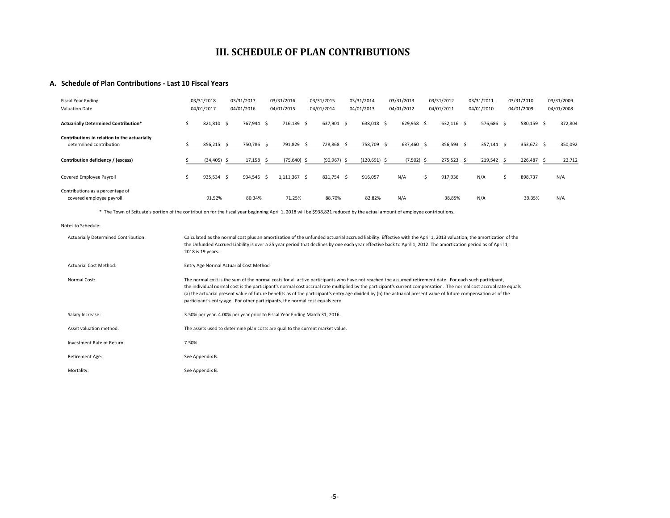### **III. SCHEDULE OF PLAN CONTRIBUTIONS**

#### **A. Schedule of Plan Contributions - Last 10 Fiscal Years**

| <b>Fiscal Year Ending</b><br><b>Valuation Date</b>                      |   | 03/31/2018<br>04/01/2017 | 03/31/2017<br>04/01/2016 | 03/31/2016<br>04/01/2015 | 03/31/2015<br>04/01/2014                                                                                                  | 03/31/2014<br>04/01/2013 | 03/31/2013<br>04/01/2012 |    | 03/31/2012<br>04/01/2011 |     | 03/31/2011<br>04/01/2010 |    | 03/31/2010<br>04/01/2009 | 03/31/2009<br>04/01/2008 |
|-------------------------------------------------------------------------|---|--------------------------|--------------------------|--------------------------|---------------------------------------------------------------------------------------------------------------------------|--------------------------|--------------------------|----|--------------------------|-----|--------------------------|----|--------------------------|--------------------------|
| <b>Actuarially Determined Contribution*</b>                             | Ŝ | 821,810 \$               | 767,944 \$               | 716,189 \$               | 637,901 \$                                                                                                                | 638,018 \$               | 629,958 \$               |    | 632,116 \$               |     | 576,686 \$               |    | 580,159 \$               | 372,804                  |
| Contributions in relation to the actuarially<br>determined contribution |   | 856,215 \$               | 750,786 \$               | 791,829 \$               | 728,868 \$                                                                                                                | 758,709 \$               | 637,460                  | -S | 356,593                  | - Ś | 357,144                  | -S | 353,672 \$               | 350,092                  |
| Contribution deficiency / (excess)                                      |   | $(34, 405)$ \$           | 17,158                   | $(75,640)$ \$            | $(90, 967)$ \$                                                                                                            | $(120, 691)$ \$          | $(7,502)$ \$             |    | 275,523                  | - Ś | 219,542                  |    | 226,487 \$               | 22,712                   |
| Covered Employee Payroll                                                | Ŝ | 935,534 \$               | 934,546 \$               | $1,111,367$ \$           | 821,754 \$                                                                                                                | 916,057                  | N/A                      | S  | 917,936                  |     | N/A                      |    | 898,737                  | N/A                      |
| Contributions as a percentage of<br>covered employee payroll            |   | 91.52%<br>.              | 80.34%                   | 71.25%                   | 88.70%<br>the contract of the contract of the contract of the contract of the contract of the contract of the contract of | 82.82%                   | N/A                      |    | 38.85%                   |     | N/A                      |    | 39.35%                   | N/A                      |

\* The Town of Scituate's portion of the contribution for the fiscal year beginning April 1, 2018 will be \$938,821 reduced by the actual amount of employee contributions.

```
Notes to Schedule:
```

| <b>Actuarially Determined Contribution:</b> | Calculated as the normal cost plus an amortization of the unfunded actuarial accrued liability. Effective with the April 1, 2013 valuation, the amortization of the<br>the Unfunded Accrued Liability is over a 25 year period that declines by one each year effective back to April 1, 2012. The amortization period as of April 1,<br>2018 is 19 years.                                                                                                                                                                                                                         |
|---------------------------------------------|------------------------------------------------------------------------------------------------------------------------------------------------------------------------------------------------------------------------------------------------------------------------------------------------------------------------------------------------------------------------------------------------------------------------------------------------------------------------------------------------------------------------------------------------------------------------------------|
| <b>Actuarial Cost Method:</b>               | Entry Age Normal Actuarial Cost Method                                                                                                                                                                                                                                                                                                                                                                                                                                                                                                                                             |
| Normal Cost:                                | The normal cost is the sum of the normal costs for all active participants who have not reached the assumed retirement date. For each such participant,<br>the individual normal cost is the participant's normal cost accrual rate multiplied by the participant's current compensation. The normal cost accrual rate equals<br>(a) the actuarial present value of future benefits as of the participant's entry age divided by (b) the actuarial present value of future compensation as of the<br>participant's entry age. For other participants, the normal cost equals zero. |
| Salary Increase:                            | 3.50% per year. 4.00% per year prior to Fiscal Year Ending March 31, 2016.                                                                                                                                                                                                                                                                                                                                                                                                                                                                                                         |
| Asset valuation method:                     | The assets used to determine plan costs are qual to the current market value.                                                                                                                                                                                                                                                                                                                                                                                                                                                                                                      |
| Investment Rate of Return:                  | 7.50%                                                                                                                                                                                                                                                                                                                                                                                                                                                                                                                                                                              |
| Retirement Age:                             | See Appendix B.                                                                                                                                                                                                                                                                                                                                                                                                                                                                                                                                                                    |
| Mortality:                                  | See Appendix B.                                                                                                                                                                                                                                                                                                                                                                                                                                                                                                                                                                    |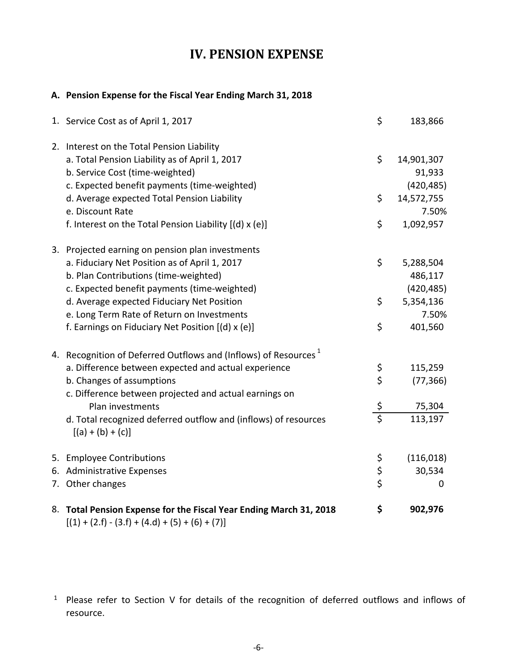## **IV. PENSION EXPENSE**

### **A. Pension Expense for the Fiscal Year Ending March 31, 2018**

| 1. Service Cost as of April 1, 2017                                                                                                                                                        | \$              | 183,866                            |
|--------------------------------------------------------------------------------------------------------------------------------------------------------------------------------------------|-----------------|------------------------------------|
| 2. Interest on the Total Pension Liability<br>a. Total Pension Liability as of April 1, 2017<br>b. Service Cost (time-weighted)<br>c. Expected benefit payments (time-weighted)            | \$              | 14,901,307<br>91,933<br>(420, 485) |
| d. Average expected Total Pension Liability<br>e. Discount Rate                                                                                                                            | \$              | 14,572,755<br>7.50%                |
| f. Interest on the Total Pension Liability [(d) x (e)]                                                                                                                                     | \$              | 1,092,957                          |
| 3. Projected earning on pension plan investments<br>a. Fiduciary Net Position as of April 1, 2017<br>b. Plan Contributions (time-weighted)<br>c. Expected benefit payments (time-weighted) | \$              | 5,288,504<br>486,117<br>(420, 485) |
| d. Average expected Fiduciary Net Position<br>e. Long Term Rate of Return on Investments<br>f. Earnings on Fiduciary Net Position [(d) x (e)]                                              | \$<br>\$        | 5,354,136<br>7.50%<br>401,560      |
| 4. Recognition of Deferred Outflows and (Inflows) of Resources <sup>1</sup>                                                                                                                |                 |                                    |
| a. Difference between expected and actual experience<br>b. Changes of assumptions<br>c. Difference between projected and actual earnings on                                                | \$<br>\$        | 115,259<br>(77, 366)               |
| Plan investments                                                                                                                                                                           | $rac{\xi}{\xi}$ | 75,304                             |
| d. Total recognized deferred outflow and (inflows) of resources<br>$[(a) + (b) + (c)]$                                                                                                     |                 | 113,197                            |
| 5. Employee Contributions                                                                                                                                                                  | \$              | (116, 018)                         |
| 6. Administrative Expenses                                                                                                                                                                 | $\frac{5}{5}$   | 30,534                             |
| 7. Other changes                                                                                                                                                                           |                 | 0                                  |
| 8. Total Pension Expense for the Fiscal Year Ending March 31, 2018<br>$[(1) + (2.f) - (3.f) + (4.d) + (5) + (6) + (7)]$                                                                    | \$              | 902,976                            |

<sup>&</sup>lt;sup>1</sup> Please refer to Section V for details of the recognition of deferred outflows and inflows of resource.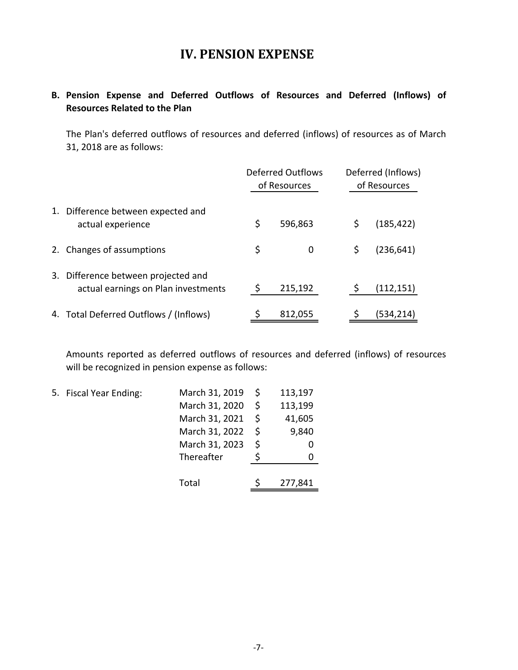## **IV. PENSION EXPENSE**

### **B. Pension Expense and Deferred Outflows of Resources and Deferred (Inflows) of Resources Related to the Plan**

The Plan's deferred outflows of resources and deferred (inflows) of resources as of March 31, 2018 are as follows:

|                                                                            | <b>Deferred Outflows</b><br>of Resources | Deferred (Inflows)<br>of Resources |            |  |  |
|----------------------------------------------------------------------------|------------------------------------------|------------------------------------|------------|--|--|
| 1. Difference between expected and<br>actual experience                    | \$<br>596,863                            | \$                                 | (185, 422) |  |  |
| 2. Changes of assumptions                                                  | \$<br>0                                  | \$                                 | (236, 641) |  |  |
| 3. Difference between projected and<br>actual earnings on Plan investments | 215,192                                  |                                    | (112, 151) |  |  |
| 4. Total Deferred Outflows / (Inflows)                                     | 812,055                                  |                                    | (534,214)  |  |  |

Amounts reported as deferred outflows of resources and deferred (inflows) of resources will be recognized in pension expense as follows:

| 5. Fiscal Year Ending: | March 31, 2019 | S  | 113,197 |
|------------------------|----------------|----|---------|
|                        | March 31, 2020 | Ŝ  | 113,199 |
|                        | March 31, 2021 | Ŝ. | 41,605  |
|                        | March 31, 2022 | Ŝ. | 9,840   |
|                        | March 31, 2023 | \$ |         |
|                        | Thereafter     |    |         |
|                        |                |    |         |
|                        | Total          |    | 277,841 |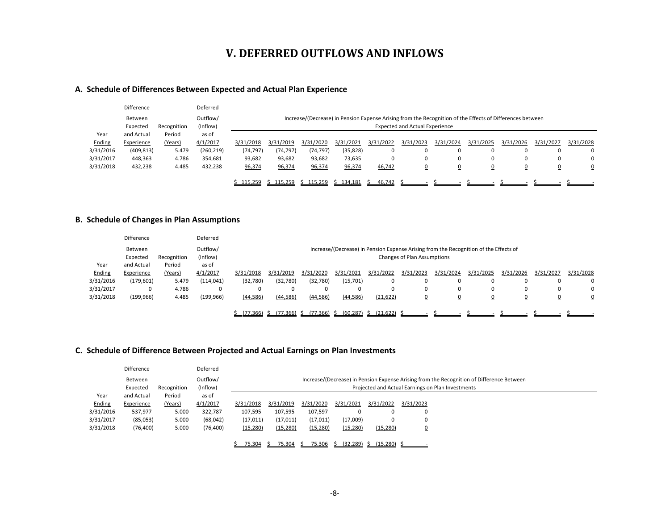### **V. DEFERRED OUTFLOWS AND INFLOWS**

#### **A. Schedule of Differences Between Expected and Actual Plan Experience**

|           | Difference |             | Deferred   |           |                                       |           |           |           |           |                                                                                                           |                |           |           |           |
|-----------|------------|-------------|------------|-----------|---------------------------------------|-----------|-----------|-----------|-----------|-----------------------------------------------------------------------------------------------------------|----------------|-----------|-----------|-----------|
|           | Between    |             | Outflow/   |           |                                       |           |           |           |           | Increase/(Decrease) in Pension Expense Arising from the Recognition of the Effects of Differences between |                |           |           |           |
|           | Expected   | Recognition | (Inflow)   |           | <b>Expected and Actual Experience</b> |           |           |           |           |                                                                                                           |                |           |           |           |
| Year      | and Actual | Period      | as of      |           |                                       |           |           |           |           |                                                                                                           |                |           |           |           |
| Ending    | Experience | (Years)     | 4/1/2017   | 3/31/2018 | 3/31/2019                             | 3/31/2020 | 3/31/2021 | 3/31/2022 | 3/31/2023 | 3/31/2024                                                                                                 | 3/31/2025      | 3/31/2026 | 3/31/2027 | 3/31/2028 |
| 3/31/2016 | (409, 813) | 5.479       | (260, 219) | (74, 797) | (74, 797)                             | (74,797)  | (35, 828) |           |           | 0                                                                                                         |                |           |           | 0         |
| 3/31/2017 | 448,363    | 4.786       | 354,681    | 93,682    | 93,682                                | 93,682    | 73,635    |           |           | 0                                                                                                         |                | 0         |           | 0         |
| 3/31/2018 | 432,238    | 4.485       | 432,238    | 96,374    | 96,374                                | 96,374    | 96,374    | 46,742    | <u>0</u>  | ⊻                                                                                                         | $\overline{0}$ | <u>0</u>  |           | <u>0</u>  |
|           |            |             |            |           |                                       |           |           |           |           |                                                                                                           |                |           |           |           |
|           |            |             |            | \$115,259 | \$115,259                             | \$115,259 | \$134,181 | 46,742    |           |                                                                                                           |                |           |           |           |

#### **B. Schedule of Changes in Plan Assumptions**

|           | <b>Difference</b> |             | Deferred   |           |                                         |           |           |                                                                                       |                             |           |                |           |           |           |
|-----------|-------------------|-------------|------------|-----------|-----------------------------------------|-----------|-----------|---------------------------------------------------------------------------------------|-----------------------------|-----------|----------------|-----------|-----------|-----------|
|           | <b>Between</b>    |             | Outflow/   |           |                                         |           |           | Increase/(Decrease) in Pension Expense Arising from the Recognition of the Effects of |                             |           |                |           |           |           |
|           | Expected          | Recognition | (Inflow)   |           |                                         |           |           |                                                                                       | Changes of Plan Assumptions |           |                |           |           |           |
| Year      | and Actual        | Period      | as of      |           |                                         |           |           |                                                                                       |                             |           |                |           |           |           |
| Ending    | Experience        | (Years)     | 4/1/2017   | 3/31/2018 | 3/31/2019                               | 3/31/2020 | 3/31/2021 | 3/31/2022                                                                             | 3/31/2023                   | 3/31/2024 | 3/31/2025      | 3/31/2026 | 3/31/2027 | 3/31/2028 |
| 3/31/2016 | (179, 601)        | 5.479       | (114, 041) | (32,780)  | (32,780)                                | (32,780)  | (15,701)  |                                                                                       | 0                           | 0         |                |           |           | 0         |
| 3/31/2017 | 0                 | 4.786       | 0          |           | 0                                       | $\Omega$  |           |                                                                                       | $\Omega$                    | 0         | $\Omega$       | 0         |           | 0         |
| 3/31/2018 | (199, 966)        | 4.485       | (199, 966) | (44, 586) | (44, 586)                               | (44, 586) | (44, 586) | (21, 622)                                                                             | $\overline{0}$              | <u>0</u>  | $\overline{0}$ | <u>0</u>  |           | 0         |
|           |                   |             |            |           |                                         |           |           |                                                                                       |                             |           |                |           |           |           |
|           |                   |             |            |           | <u>(77.366) \$ (77.366) \$ (77.366)</u> |           |           | <u>\$ (60.287) \$ (21.622) \$</u>                                                     |                             |           |                |           |           |           |

#### **C. Schedule of Difference Between Projected and Actual Earnings on Plan Investments**

|           | Difference |             | Deferred  |           |           |           |           |                                          |                |                                                                                           |
|-----------|------------|-------------|-----------|-----------|-----------|-----------|-----------|------------------------------------------|----------------|-------------------------------------------------------------------------------------------|
|           | Between    |             | Outflow/  |           |           |           |           |                                          |                | Increase/(Decrease) in Pension Expense Arising from the Recognition of Difference Between |
|           | Expected   | Recognition | (Inflow)  |           |           |           |           |                                          |                | Projected and Actual Earnings on Plan Investments                                         |
| Year      | and Actual | Period      | as of     |           |           |           |           |                                          |                |                                                                                           |
| Ending    | Experience | (Years)     | 4/1/2017  | 3/31/2018 | 3/31/2019 | 3/31/2020 | 3/31/2021 | 3/31/2022                                | 3/31/2023      |                                                                                           |
| 3/31/2016 | 537,977    | 5.000       | 322,787   | 107,595   | 107,595   | 107,597   |           |                                          | 0              |                                                                                           |
| 3/31/2017 | (85,053)   | 5.000       | (68, 042) | (17, 011) | (17, 011) | (17, 011) | (17,009)  |                                          | $\mathbf 0$    |                                                                                           |
| 3/31/2018 | (76, 400)  | 5.000       | (76, 400) | (15, 280) | (15, 280) | (15, 280) | (15, 280) | (15, 280)                                | $\overline{0}$ |                                                                                           |
|           |            |             |           |           |           |           |           |                                          |                |                                                                                           |
|           |            |             |           | 75.304    | 75.304    |           |           | <u>75.306 \$ (32.289) \$ (15.280) \$</u> |                |                                                                                           |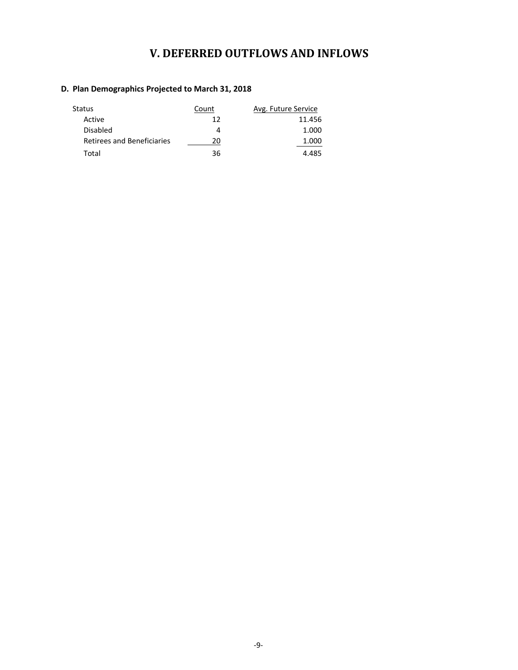# **V. DEFERRED OUTFLOWS AND INFLOWS**

#### **D. Plan Demographics Projected to March 31, 2018**

| Status                     | Count | Avg. Future Service |
|----------------------------|-------|---------------------|
| Active                     | 12    | 11.456              |
| <b>Disabled</b>            |       | 1.000               |
| Retirees and Beneficiaries | 20    | 1.000               |
| Total                      | 36    | 4.485               |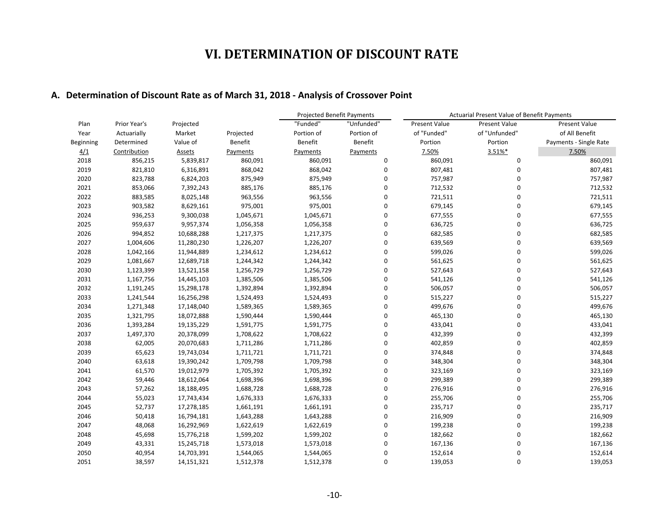#### **A. Determination of Discount Rate as of March 31, 2018 - Analysis of Crossover Point**

|           |              |            |           | <b>Projected Benefit Payments</b> |             | Actuarial Present Value of Benefit Payments |                      |                        |
|-----------|--------------|------------|-----------|-----------------------------------|-------------|---------------------------------------------|----------------------|------------------------|
| Plan      | Prior Year's | Projected  |           | "Funded"                          | "Unfunded"  | <b>Present Value</b>                        | <b>Present Value</b> | <b>Present Value</b>   |
| Year      | Actuarially  | Market     | Projected | Portion of                        | Portion of  | of "Funded"                                 | of "Unfunded"        | of All Benefit         |
| Beginning | Determined   | Value of   | Benefit   | Benefit                           | Benefit     | Portion                                     | Portion              | Payments - Single Rate |
| 4/1       | Contribution | Assets     | Payments  | Payments                          | Payments    | 7.50%                                       | 3.51%*               | 7.50%                  |
| 2018      | 856,215      | 5,839,817  | 860,091   | 860,091                           | 0           | 860,091                                     | 0                    | 860,091                |
| 2019      | 821,810      | 6,316,891  | 868,042   | 868,042                           | 0           | 807,481                                     | 0                    | 807,481                |
| 2020      | 823,788      | 6,824,203  | 875,949   | 875,949                           | 0           | 757,987                                     | $\Omega$             | 757,987                |
| 2021      | 853,066      | 7,392,243  | 885,176   | 885,176                           | 0           | 712,532                                     | $\mathbf 0$          | 712,532                |
| 2022      | 883,585      | 8,025,148  | 963,556   | 963,556                           | $\mathbf 0$ | 721,511                                     | $\overline{0}$       | 721,511                |
| 2023      | 903,582      | 8,629,161  | 975,001   | 975,001                           | $\mathbf 0$ | 679,145                                     | $\overline{0}$       | 679,145                |
| 2024      | 936,253      | 9,300,038  | 1,045,671 | 1,045,671                         | $\mathbf 0$ | 677,555                                     | $\mathbf 0$          | 677,555                |
| 2025      | 959,637      | 9,957,374  | 1,056,358 | 1,056,358                         | 0           | 636,725                                     | $\mathbf 0$          | 636,725                |
| 2026      | 994,852      | 10,688,288 | 1,217,375 | 1,217,375                         | 0           | 682,585                                     | $\mathbf 0$          | 682,585                |
| 2027      | 1,004,606    | 11,280,230 | 1,226,207 | 1,226,207                         | 0           | 639,569                                     | $\mathbf 0$          | 639,569                |
| 2028      | 1,042,166    | 11,944,889 | 1,234,612 | 1,234,612                         | 0           | 599,026                                     | $\Omega$             | 599,026                |
| 2029      | 1,081,667    | 12,689,718 | 1,244,342 | 1,244,342                         | 0           | 561,625                                     | $\Omega$             | 561,625                |
| 2030      | 1,123,399    | 13,521,158 | 1,256,729 | 1,256,729                         | $\Omega$    | 527,643                                     | $\Omega$             | 527,643                |
| 2031      | 1,167,756    | 14,445,103 | 1,385,506 | 1,385,506                         | 0           | 541,126                                     | $\Omega$             | 541,126                |
| 2032      | 1,191,245    | 15,298,178 | 1,392,894 | 1,392,894                         | 0           | 506,057                                     | $\Omega$             | 506,057                |
| 2033      | 1,241,544    | 16,256,298 | 1,524,493 | 1,524,493                         | 0           | 515,227                                     | $\Omega$             | 515,227                |
| 2034      | 1,271,348    | 17,148,040 | 1,589,365 | 1,589,365                         | 0           | 499,676                                     | $\mathbf 0$          | 499,676                |
| 2035      | 1,321,795    | 18,072,888 | 1,590,444 | 1,590,444                         | 0           | 465,130                                     | $\Omega$             | 465,130                |
| 2036      | 1,393,284    | 19,135,229 | 1,591,775 | 1,591,775                         | $\mathbf 0$ | 433,041                                     | 0                    | 433,041                |
| 2037      | 1,497,370    | 20,378,099 | 1,708,622 | 1,708,622                         | 0           | 432,399                                     | $\Omega$             | 432,399                |
| 2038      | 62,005       | 20,070,683 | 1,711,286 | 1,711,286                         | 0           | 402,859                                     | $\Omega$             | 402,859                |
| 2039      | 65,623       | 19,743,034 | 1,711,721 | 1,711,721                         | 0           | 374,848                                     | $\Omega$             | 374,848                |
| 2040      | 63,618       | 19,390,242 | 1,709,798 | 1,709,798                         | 0           | 348,304                                     | $\Omega$             | 348,304                |
| 2041      | 61,570       | 19,012,979 | 1,705,392 | 1,705,392                         | 0           | 323,169                                     | $\mathbf 0$          | 323,169                |
| 2042      | 59,446       | 18,612,064 | 1,698,396 | 1,698,396                         | 0           | 299,389                                     | $\Omega$             | 299,389                |
| 2043      | 57,262       | 18,188,495 | 1,688,728 | 1,688,728                         | 0           | 276,916                                     | $\Omega$             | 276,916                |
| 2044      | 55,023       | 17,743,434 | 1,676,333 | 1,676,333                         | 0           | 255,706                                     | $\mathbf 0$          | 255,706                |
| 2045      | 52,737       | 17,278,185 | 1,661,191 | 1,661,191                         | 0           | 235,717                                     | $\mathbf 0$          | 235,717                |
| 2046      | 50,418       | 16,794,181 | 1,643,288 | 1,643,288                         | 0           | 216,909                                     | $\Omega$             | 216,909                |
| 2047      | 48,068       | 16,292,969 | 1,622,619 | 1,622,619                         | 0           | 199,238                                     | $\Omega$             | 199,238                |
| 2048      | 45,698       | 15,776,218 | 1,599,202 | 1,599,202                         | $\mathbf 0$ | 182,662                                     | $\Omega$             | 182,662                |
| 2049      | 43,331       | 15,245,718 | 1,573,018 | 1,573,018                         | 0           | 167,136                                     | $\mathbf 0$          | 167,136                |
| 2050      | 40,954       | 14,703,391 | 1,544,065 | 1,544,065                         | 0           | 152,614                                     | $\Omega$             | 152,614                |
| 2051      | 38,597       | 14,151,321 | 1,512,378 | 1,512,378                         | $\mathbf 0$ | 139,053                                     | 0                    | 139,053                |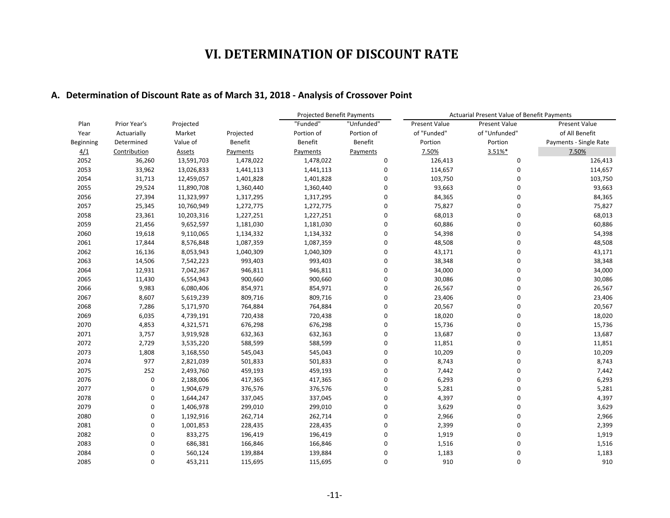### **A. Determination of Discount Rate as of March 31, 2018 - Analysis of Crossover Point**

|           |              |            |                | <b>Projected Benefit Payments</b> |             | Actuarial Present Value of Benefit Payments |                      |                        |  |
|-----------|--------------|------------|----------------|-----------------------------------|-------------|---------------------------------------------|----------------------|------------------------|--|
| Plan      | Prior Year's | Projected  |                | "Funded"                          | "Unfunded"  | <b>Present Value</b>                        | <b>Present Value</b> | <b>Present Value</b>   |  |
| Year      | Actuarially  | Market     | Projected      | Portion of                        | Portion of  | of "Funded"                                 | of "Unfunded"        | of All Benefit         |  |
| Beginning | Determined   | Value of   | <b>Benefit</b> | Benefit                           | Benefit     | Portion                                     | Portion              | Payments - Single Rate |  |
| 4/1       | Contribution | Assets     | Payments       | Payments                          | Payments    | 7.50%                                       | 3.51%*               | 7.50%                  |  |
| 2052      | 36,260       | 13,591,703 | 1,478,022      | 1,478,022                         | 0           | 126,413                                     | 0                    | 126,413                |  |
| 2053      | 33,962       | 13,026,833 | 1,441,113      | 1,441,113                         | 0           | 114,657                                     | 0                    | 114,657                |  |
| 2054      | 31,713       | 12,459,057 | 1,401,828      | 1,401,828                         | 0           | 103,750                                     | 0                    | 103,750                |  |
| 2055      | 29,524       | 11,890,708 | 1,360,440      | 1,360,440                         | 0           | 93,663                                      | 0                    | 93,663                 |  |
| 2056      | 27,394       | 11,323,997 | 1,317,295      | 1,317,295                         | 0           | 84,365                                      | 0                    | 84,365                 |  |
| 2057      | 25,345       | 10,760,949 | 1,272,775      | 1,272,775                         | 0           | 75,827                                      | 0                    | 75,827                 |  |
| 2058      | 23,361       | 10,203,316 | 1,227,251      | 1,227,251                         | 0           | 68,013                                      | 0                    | 68,013                 |  |
| 2059      | 21,456       | 9,652,597  | 1,181,030      | 1,181,030                         | 0           | 60,886                                      | 0                    | 60,886                 |  |
| 2060      | 19,618       | 9,110,065  | 1,134,332      | 1,134,332                         | 0           | 54,398                                      | 0                    | 54,398                 |  |
| 2061      | 17,844       | 8,576,848  | 1,087,359      | 1,087,359                         | 0           | 48,508                                      | 0                    | 48,508                 |  |
| 2062      | 16,136       | 8,053,943  | 1,040,309      | 1,040,309                         | $\mathbf 0$ | 43,171                                      | 0                    | 43,171                 |  |
| 2063      | 14,506       | 7,542,223  | 993,403        | 993,403                           | $\mathbf 0$ | 38,348                                      | 0                    | 38,348                 |  |
| 2064      | 12,931       | 7,042,367  | 946,811        | 946,811                           | $\mathbf 0$ | 34,000                                      | 0                    | 34,000                 |  |
| 2065      | 11,430       | 6,554,943  | 900,660        | 900,660                           | 0           | 30,086                                      | 0                    | 30,086                 |  |
| 2066      | 9,983        | 6,080,406  | 854,971        | 854,971                           | $\mathbf 0$ | 26,567                                      | 0                    | 26,567                 |  |
| 2067      | 8,607        | 5,619,239  | 809,716        | 809,716                           | 0           | 23,406                                      | 0                    | 23,406                 |  |
| 2068      | 7,286        | 5,171,970  | 764,884        | 764,884                           | 0           | 20,567                                      | 0                    | 20,567                 |  |
| 2069      | 6,035        | 4,739,191  | 720,438        | 720,438                           | 0           | 18,020                                      | 0                    | 18,020                 |  |
| 2070      | 4,853        | 4,321,571  | 676,298        | 676,298                           | $\mathbf 0$ | 15,736                                      | 0                    | 15,736                 |  |
| 2071      | 3,757        | 3,919,928  | 632,363        | 632,363                           | 0           | 13,687                                      | 0                    | 13,687                 |  |
| 2072      | 2,729        | 3,535,220  | 588,599        | 588,599                           | 0           | 11,851                                      | 0                    | 11,851                 |  |
| 2073      | 1,808        | 3,168,550  | 545,043        | 545,043                           | 0           | 10,209                                      | 0                    | 10,209                 |  |
| 2074      | 977          | 2,821,039  | 501,833        | 501,833                           | 0           | 8,743                                       | 0                    | 8,743                  |  |
| 2075      | 252          | 2,493,760  | 459,193        | 459,193                           | 0           | 7,442                                       | 0                    | 7,442                  |  |
| 2076      | $\mathbf 0$  | 2,188,006  | 417,365        | 417,365                           | 0           | 6,293                                       | 0                    | 6,293                  |  |
| 2077      | $\mathbf 0$  | 1,904,679  | 376,576        | 376,576                           | $\mathbf 0$ | 5,281                                       | 0                    | 5,281                  |  |
| 2078      | $\mathbf 0$  | 1,644,247  | 337,045        | 337,045                           | 0           | 4,397                                       | 0                    | 4,397                  |  |
| 2079      | $\mathbf 0$  | 1,406,978  | 299,010        | 299,010                           | 0           | 3,629                                       | 0                    | 3,629                  |  |
| 2080      | $\mathbf 0$  | 1,192,916  | 262,714        | 262,714                           | $\mathbf 0$ | 2,966                                       | 0                    | 2,966                  |  |
| 2081      | $\mathbf 0$  | 1,001,853  | 228,435        | 228,435                           | $\mathbf 0$ | 2,399                                       | 0                    | 2,399                  |  |
| 2082      | $\mathbf 0$  | 833,275    | 196,419        | 196,419                           | $\mathbf 0$ | 1,919                                       | 0                    | 1,919                  |  |
| 2083      | 0            | 686,381    | 166,846        | 166,846                           | 0           | 1,516                                       | 0                    | 1,516                  |  |
| 2084      | $\mathbf 0$  | 560,124    | 139,884        | 139,884                           | 0           | 1,183                                       | 0                    | 1,183                  |  |
| 2085      | $\Omega$     | 453,211    | 115,695        | 115,695                           | 0           | 910                                         | $\mathbf 0$          | 910                    |  |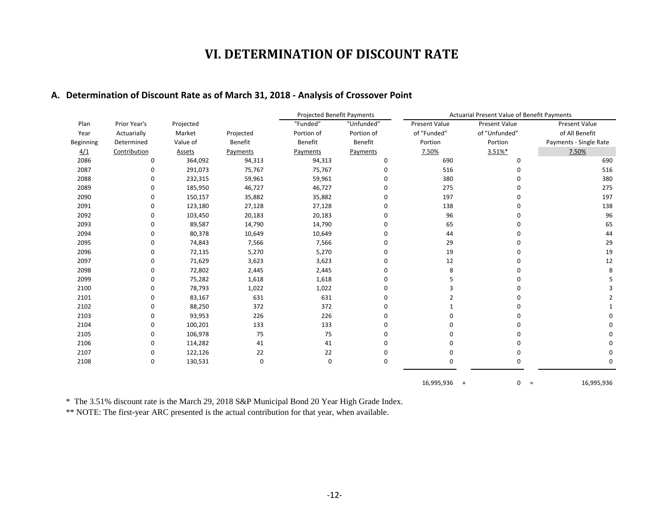### **A. Determination of Discount Rate as of March 31, 2018 - Analysis of Crossover Point**

|           |              |           |                | <b>Projected Benefit Payments</b> |             | Actuarial Present Value of Benefit Payments |                      |                        |  |
|-----------|--------------|-----------|----------------|-----------------------------------|-------------|---------------------------------------------|----------------------|------------------------|--|
| Plan      | Prior Year's | Projected |                | "Funded"                          | "Unfunded"  | Present Value                               | <b>Present Value</b> | Present Value          |  |
| Year      | Actuarially  | Market    | Projected      | Portion of                        | Portion of  | of "Funded"                                 | of "Unfunded"        | of All Benefit         |  |
| Beginning | Determined   | Value of  | <b>Benefit</b> | Benefit                           | Benefit     | Portion                                     | Portion              | Payments - Single Rate |  |
| 4/1       | Contribution | Assets    | Payments       | Payments                          | Payments    | 7.50%                                       | 3.51%*               | 7.50%                  |  |
| 2086      | 0            | 364,092   | 94,313         | 94,313                            | 0           | 690                                         | 0                    | 690                    |  |
| 2087      | O            | 291,073   | 75,767         | 75,767                            | $\mathbf 0$ | 516                                         | 0                    | 516                    |  |
| 2088      | ŋ            | 232,315   | 59,961         | 59,961                            | 0           | 380                                         | 0                    | 380                    |  |
| 2089      | O            | 185,950   | 46,727         | 46,727                            | $\mathbf 0$ | 275                                         | 0                    | 275                    |  |
| 2090      | O            | 150,157   | 35,882         | 35,882                            | 0           | 197                                         | 0                    | 197                    |  |
| 2091      | O            | 123,180   | 27,128         | 27,128                            | 0           | 138                                         | 0                    | 138                    |  |
| 2092      | $\Omega$     | 103,450   | 20,183         | 20,183                            | 0           | 96                                          | 0                    | 96                     |  |
| 2093      | 0            | 89,587    | 14,790         | 14,790                            | 0           | 65                                          | 0                    | 65                     |  |
| 2094      | O            | 80,378    | 10,649         | 10,649                            | 0           | 44                                          | 0                    | 44                     |  |
| 2095      | O            | 74,843    | 7,566          | 7,566                             | 0           | 29                                          | 0                    | 29                     |  |
| 2096      | O            | 72,135    | 5,270          | 5,270                             | 0           | 19                                          | 0                    | 19                     |  |
| 2097      | O            | 71,629    | 3,623          | 3,623                             | 0           | 12                                          | 0                    | 12                     |  |
| 2098      | O            | 72,802    | 2,445          | 2,445                             | 0           | 8                                           | 0                    | 8                      |  |
| 2099      | O            | 75,282    | 1,618          | 1,618                             | 0           | 5                                           | 0                    |                        |  |
| 2100      |              | 78,793    | 1,022          | 1,022                             | 0           | 3                                           |                      |                        |  |
| 2101      |              | 83,167    | 631            | 631                               | 0           |                                             |                      |                        |  |
| 2102      |              | 88,250    | 372            | 372                               | 0           |                                             |                      |                        |  |
| 2103      | O            | 93,953    | 226            | 226                               | 0           |                                             | U                    | O                      |  |
| 2104      | O            | 100,201   | 133            | 133                               | 0           |                                             |                      |                        |  |
| 2105      |              | 106,978   | 75             | 75                                | 0           | ŋ                                           |                      |                        |  |
| 2106      |              | 114,282   | 41             | 41                                | 0           |                                             | 0                    |                        |  |
| 2107      | O            | 122,126   | 22             | 22                                | 0           | $\Omega$                                    | 0                    | 0                      |  |
| 2108      | 0            | 130,531   | 0              | $\mathbf 0$                       | 0           | 0                                           | 0                    | 0                      |  |
|           |              |           |                |                                   |             | 16,995,936<br>$+$                           | 0<br>$\equiv$        | 16,995,936             |  |

\* The 3.51% discount rate is the March 29, 2018 S&P Municipal Bond 20 Year High Grade Index.

\*\* NOTE: The first-year ARC presented is the actual contribution for that year, when available.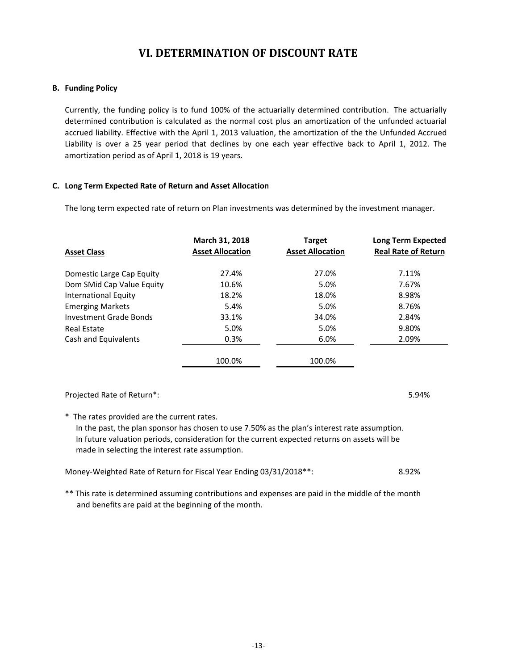#### **B. Funding Policy**

Currently, the funding policy is to fund 100% of the actuarially determined contribution. The actuarially determined contribution is calculated as the normal cost plus an amortization of the unfunded actuarial accrued liability. Effective with the April 1, 2013 valuation, the amortization of the the Unfunded Accrued Liability is over a 25 year period that declines by one each year effective back to April 1, 2012. The amortization period as of April 1, 2018 is 19 years.

#### **C. Long Term Expected Rate of Return and Asset Allocation**

The long term expected rate of return on Plan investments was determined by the investment manager.

|                             | March 31, 2018          | <b>Target</b>           | <b>Long Term Expected</b>  |
|-----------------------------|-------------------------|-------------------------|----------------------------|
| <b>Asset Class</b>          | <b>Asset Allocation</b> | <b>Asset Allocation</b> | <b>Real Rate of Return</b> |
| Domestic Large Cap Equity   | 27.4%                   | 27.0%                   | 7.11%                      |
| Dom SMid Cap Value Equity   | 10.6%                   | 5.0%                    | 7.67%                      |
| <b>International Equity</b> | 18.2%                   | 18.0%                   | 8.98%                      |
| <b>Emerging Markets</b>     | 5.4%                    | 5.0%                    | 8.76%                      |
| Investment Grade Bonds      | 33.1%                   | 34.0%                   | 2.84%                      |
| Real Estate                 | 5.0%                    | 5.0%                    | 9.80%                      |
| Cash and Equivalents        | 0.3%                    | 6.0%                    | 2.09%                      |
|                             | 100.0%                  | 100.0%                  |                            |

### Projected Rate of Return\*: 5.94%

\* The rates provided are the current rates.

In the past, the plan sponsor has chosen to use 7.50% as the plan's interest rate assumption. In future valuation periods, consideration for the current expected returns on assets will be made in selecting the interest rate assumption.

| Money-Weighted Rate of Return for Fiscal Year Ending 03/31/2018 **: | 8.92% |
|---------------------------------------------------------------------|-------|
|---------------------------------------------------------------------|-------|

\*\* This rate is determined assuming contributions and expenses are paid in the middle of the month and benefits are paid at the beginning of the month.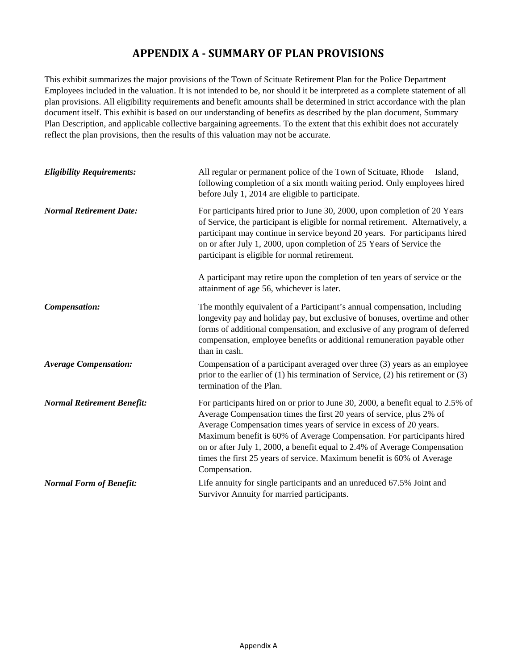### **APPENDIX A - SUMMARY OF PLAN PROVISIONS**

This exhibit summarizes the major provisions of the Town of Scituate Retirement Plan for the Police Department Employees included in the valuation. It is not intended to be, nor should it be interpreted as a complete statement of all plan provisions. All eligibility requirements and benefit amounts shall be determined in strict accordance with the plan document itself. This exhibit is based on our understanding of benefits as described by the plan document, Summary Plan Description, and applicable collective bargaining agreements. To the extent that this exhibit does not accurately reflect the plan provisions, then the results of this valuation may not be accurate.

| <b>Eligibility Requirements:</b>  | All regular or permanent police of the Town of Scituate, Rhode<br>Island,<br>following completion of a six month waiting period. Only employees hired<br>before July 1, 2014 are eligible to participate.                                                                                                                                                                                                                                                                       |  |  |  |  |  |
|-----------------------------------|---------------------------------------------------------------------------------------------------------------------------------------------------------------------------------------------------------------------------------------------------------------------------------------------------------------------------------------------------------------------------------------------------------------------------------------------------------------------------------|--|--|--|--|--|
| <b>Normal Retirement Date:</b>    | For participants hired prior to June 30, 2000, upon completion of 20 Years<br>of Service, the participant is eligible for normal retirement. Alternatively, a<br>participant may continue in service beyond 20 years. For participants hired<br>on or after July 1, 2000, upon completion of 25 Years of Service the<br>participant is eligible for normal retirement.                                                                                                          |  |  |  |  |  |
|                                   | A participant may retire upon the completion of ten years of service or the<br>attainment of age 56, whichever is later.                                                                                                                                                                                                                                                                                                                                                        |  |  |  |  |  |
| Compensation:                     | The monthly equivalent of a Participant's annual compensation, including<br>longevity pay and holiday pay, but exclusive of bonuses, overtime and other<br>forms of additional compensation, and exclusive of any program of deferred<br>compensation, employee benefits or additional remuneration payable other<br>than in cash.                                                                                                                                              |  |  |  |  |  |
| <b>Average Compensation:</b>      | Compensation of a participant averaged over three (3) years as an employee<br>prior to the earlier of $(1)$ his termination of Service, $(2)$ his retirement or $(3)$<br>termination of the Plan.                                                                                                                                                                                                                                                                               |  |  |  |  |  |
| <b>Normal Retirement Benefit:</b> | For participants hired on or prior to June 30, 2000, a benefit equal to 2.5% of<br>Average Compensation times the first 20 years of service, plus 2% of<br>Average Compensation times years of service in excess of 20 years.<br>Maximum benefit is 60% of Average Compensation. For participants hired<br>on or after July 1, 2000, a benefit equal to 2.4% of Average Compensation<br>times the first 25 years of service. Maximum benefit is 60% of Average<br>Compensation. |  |  |  |  |  |
| <b>Normal Form of Benefit:</b>    | Life annuity for single participants and an unreduced 67.5% Joint and<br>Survivor Annuity for married participants.                                                                                                                                                                                                                                                                                                                                                             |  |  |  |  |  |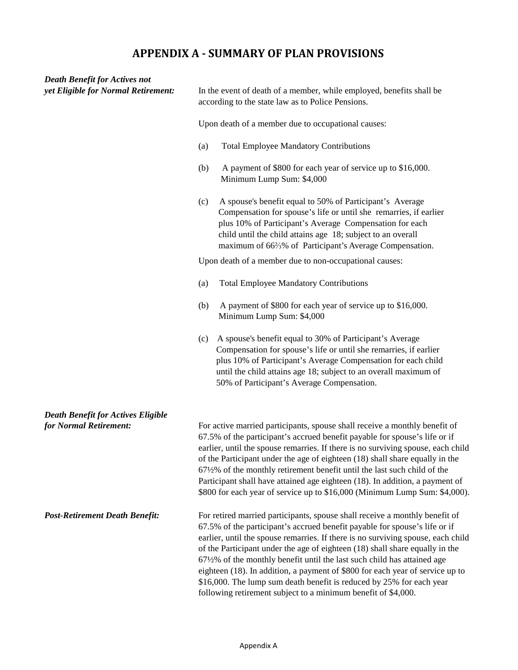## **APPENDIX A - SUMMARY OF PLAN PROVISIONS**

| <b>Death Benefit for Actives not</b><br>yet Eligible for Normal Retirement: | In the event of death of a member, while employed, benefits shall be<br>according to the state law as to Police Pensions.                                                                                                                                                                                                                                                                                                                                                                                                                                                                                                           |  |  |  |  |  |  |  |
|-----------------------------------------------------------------------------|-------------------------------------------------------------------------------------------------------------------------------------------------------------------------------------------------------------------------------------------------------------------------------------------------------------------------------------------------------------------------------------------------------------------------------------------------------------------------------------------------------------------------------------------------------------------------------------------------------------------------------------|--|--|--|--|--|--|--|
|                                                                             | Upon death of a member due to occupational causes:                                                                                                                                                                                                                                                                                                                                                                                                                                                                                                                                                                                  |  |  |  |  |  |  |  |
|                                                                             | <b>Total Employee Mandatory Contributions</b><br>(a)                                                                                                                                                                                                                                                                                                                                                                                                                                                                                                                                                                                |  |  |  |  |  |  |  |
|                                                                             | A payment of \$800 for each year of service up to \$16,000.<br>(b)<br>Minimum Lump Sum: \$4,000                                                                                                                                                                                                                                                                                                                                                                                                                                                                                                                                     |  |  |  |  |  |  |  |
|                                                                             | A spouse's benefit equal to 50% of Participant's Average<br>(c)<br>Compensation for spouse's life or until she remarries, if earlier<br>plus 10% of Participant's Average Compensation for each<br>child until the child attains age 18; subject to an overall<br>maximum of 66%% of Participant's Average Compensation.                                                                                                                                                                                                                                                                                                            |  |  |  |  |  |  |  |
|                                                                             | Upon death of a member due to non-occupational causes:                                                                                                                                                                                                                                                                                                                                                                                                                                                                                                                                                                              |  |  |  |  |  |  |  |
|                                                                             | <b>Total Employee Mandatory Contributions</b><br>(a)                                                                                                                                                                                                                                                                                                                                                                                                                                                                                                                                                                                |  |  |  |  |  |  |  |
|                                                                             | A payment of \$800 for each year of service up to \$16,000.<br>(b)<br>Minimum Lump Sum: \$4,000                                                                                                                                                                                                                                                                                                                                                                                                                                                                                                                                     |  |  |  |  |  |  |  |
|                                                                             | A spouse's benefit equal to 30% of Participant's Average<br>(c)<br>Compensation for spouse's life or until she remarries, if earlier<br>plus 10% of Participant's Average Compensation for each child<br>until the child attains age 18; subject to an overall maximum of<br>50% of Participant's Average Compensation.                                                                                                                                                                                                                                                                                                             |  |  |  |  |  |  |  |
| <b>Death Benefit for Actives Eligible</b>                                   |                                                                                                                                                                                                                                                                                                                                                                                                                                                                                                                                                                                                                                     |  |  |  |  |  |  |  |
| for Normal Retirement:                                                      | For active married participants, spouse shall receive a monthly benefit of<br>67.5% of the participant's accrued benefit payable for spouse's life or if<br>earlier, until the spouse remarries. If there is no surviving spouse, each child<br>of the Participant under the age of eighteen (18) shall share equally in the<br>671/2% of the monthly retirement benefit until the last such child of the<br>Participant shall have attained age eighteen (18). In addition, a payment of<br>\$800 for each year of service up to \$16,000 (Minimum Lump Sum: \$4,000).                                                             |  |  |  |  |  |  |  |
| <b>Post-Retirement Death Benefit:</b>                                       | For retired married participants, spouse shall receive a monthly benefit of<br>67.5% of the participant's accrued benefit payable for spouse's life or if<br>earlier, until the spouse remarries. If there is no surviving spouse, each child<br>of the Participant under the age of eighteen (18) shall share equally in the<br>671/2% of the monthly benefit until the last such child has attained age<br>eighteen (18). In addition, a payment of \$800 for each year of service up to<br>\$16,000. The lump sum death benefit is reduced by 25% for each year<br>following retirement subject to a minimum benefit of \$4,000. |  |  |  |  |  |  |  |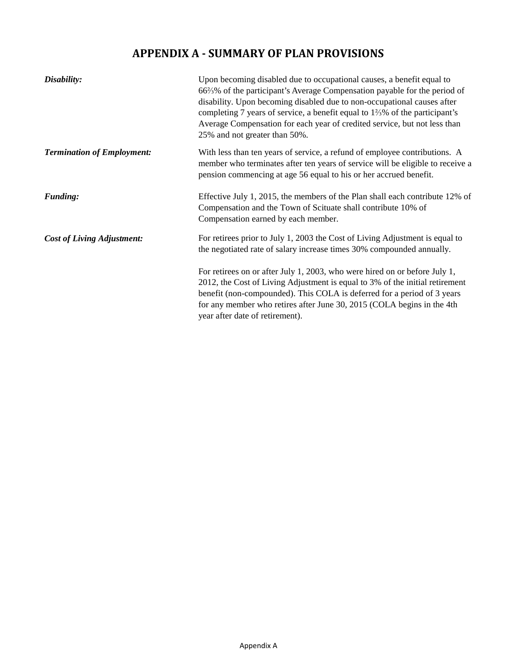## **APPENDIX A - SUMMARY OF PLAN PROVISIONS**

| Disability:                       | Upon becoming disabled due to occupational causes, a benefit equal to<br>66%% of the participant's Average Compensation payable for the period of<br>disability. Upon becoming disabled due to non-occupational causes after<br>completing 7 years of service, a benefit equal to $1\frac{2}{3}\%$ of the participant's<br>Average Compensation for each year of credited service, but not less than<br>25% and not greater than 50%. |
|-----------------------------------|---------------------------------------------------------------------------------------------------------------------------------------------------------------------------------------------------------------------------------------------------------------------------------------------------------------------------------------------------------------------------------------------------------------------------------------|
| <b>Termination of Employment:</b> | With less than ten years of service, a refund of employee contributions. A<br>member who terminates after ten years of service will be eligible to receive a<br>pension commencing at age 56 equal to his or her accrued benefit.                                                                                                                                                                                                     |
| <b>Funding:</b>                   | Effective July 1, 2015, the members of the Plan shall each contribute 12% of<br>Compensation and the Town of Scituate shall contribute 10% of<br>Compensation earned by each member.                                                                                                                                                                                                                                                  |
| <b>Cost of Living Adjustment:</b> | For retirees prior to July 1, 2003 the Cost of Living Adjustment is equal to<br>the negotiated rate of salary increase times 30% compounded annually.                                                                                                                                                                                                                                                                                 |
|                                   | For retirees on or after July 1, 2003, who were hired on or before July 1,<br>2012, the Cost of Living Adjustment is equal to 3% of the initial retirement<br>benefit (non-compounded). This COLA is deferred for a period of 3 years<br>for any member who retires after June 30, 2015 (COLA begins in the 4th<br>year after date of retirement).                                                                                    |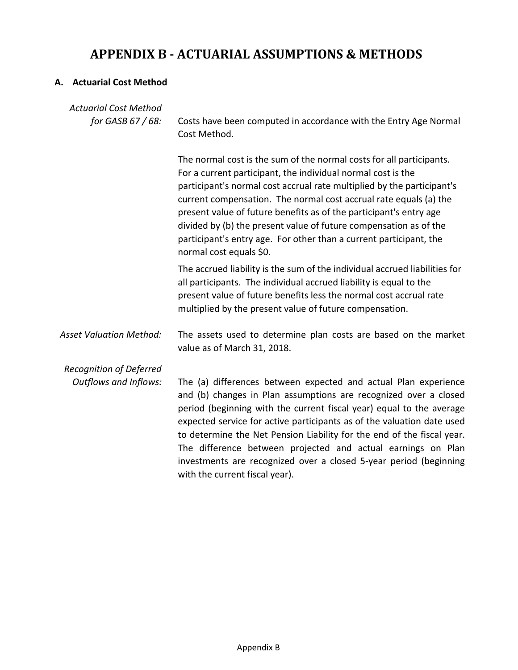# **APPENDIX B - ACTUARIAL ASSUMPTIONS & METHODS**

### **A. Actuarial Cost Method**

| <b>Actuarial Cost Method</b><br>for GASB 67 / 68: | Costs have been computed in accordance with the Entry Age Normal<br>Cost Method.                                                                                                                                                                                                                                                                                                                                                                                                                                                       |  |  |  |  |  |
|---------------------------------------------------|----------------------------------------------------------------------------------------------------------------------------------------------------------------------------------------------------------------------------------------------------------------------------------------------------------------------------------------------------------------------------------------------------------------------------------------------------------------------------------------------------------------------------------------|--|--|--|--|--|
|                                                   | The normal cost is the sum of the normal costs for all participants.<br>For a current participant, the individual normal cost is the<br>participant's normal cost accrual rate multiplied by the participant's<br>current compensation. The normal cost accrual rate equals (a) the<br>present value of future benefits as of the participant's entry age<br>divided by (b) the present value of future compensation as of the<br>participant's entry age. For other than a current participant, the<br>normal cost equals \$0.        |  |  |  |  |  |
|                                                   | The accrued liability is the sum of the individual accrued liabilities for<br>all participants. The individual accrued liability is equal to the<br>present value of future benefits less the normal cost accrual rate<br>multiplied by the present value of future compensation.                                                                                                                                                                                                                                                      |  |  |  |  |  |
| <b>Asset Valuation Method:</b>                    | The assets used to determine plan costs are based on the market<br>value as of March 31, 2018.                                                                                                                                                                                                                                                                                                                                                                                                                                         |  |  |  |  |  |
| <b>Recognition of Deferred</b>                    |                                                                                                                                                                                                                                                                                                                                                                                                                                                                                                                                        |  |  |  |  |  |
| <b>Outflows and Inflows:</b>                      | The (a) differences between expected and actual Plan experience<br>and (b) changes in Plan assumptions are recognized over a closed<br>period (beginning with the current fiscal year) equal to the average<br>expected service for active participants as of the valuation date used<br>to determine the Net Pension Liability for the end of the fiscal year.<br>The difference between projected and actual earnings on Plan<br>investments are recognized over a closed 5-year period (beginning<br>with the current fiscal year). |  |  |  |  |  |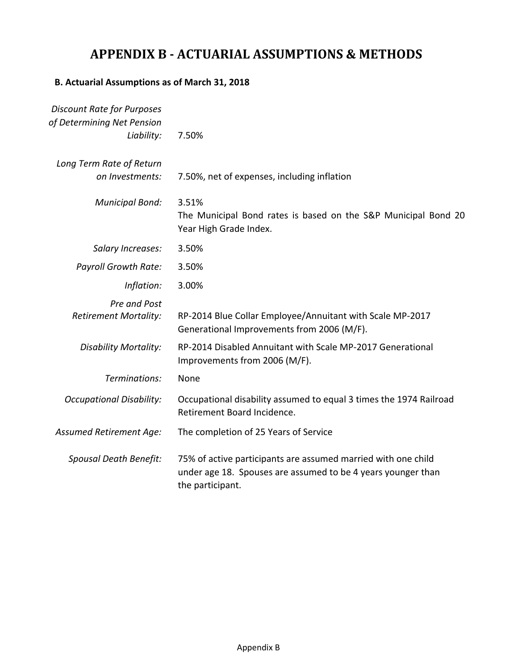# **APPENDIX B - ACTUARIAL ASSUMPTIONS & METHODS**

### **B. Actuarial Assumptions as of March 31, 2018**

| <b>Discount Rate for Purposes</b><br>of Determining Net Pension |                                                                                                                                                   |
|-----------------------------------------------------------------|---------------------------------------------------------------------------------------------------------------------------------------------------|
| Liability:                                                      | 7.50%                                                                                                                                             |
| Long Term Rate of Return                                        |                                                                                                                                                   |
| on Investments:                                                 | 7.50%, net of expenses, including inflation                                                                                                       |
| <b>Municipal Bond:</b>                                          | 3.51%<br>The Municipal Bond rates is based on the S&P Municipal Bond 20<br>Year High Grade Index.                                                 |
| Salary Increases:                                               | 3.50%                                                                                                                                             |
| <b>Payroll Growth Rate:</b>                                     | 3.50%                                                                                                                                             |
| Inflation:                                                      | 3.00%                                                                                                                                             |
| Pre and Post<br><b>Retirement Mortality:</b>                    | RP-2014 Blue Collar Employee/Annuitant with Scale MP-2017<br>Generational Improvements from 2006 (M/F).                                           |
| <b>Disability Mortality:</b>                                    | RP-2014 Disabled Annuitant with Scale MP-2017 Generational<br>Improvements from 2006 (M/F).                                                       |
| Terminations:                                                   | None                                                                                                                                              |
| <b>Occupational Disability:</b>                                 | Occupational disability assumed to equal 3 times the 1974 Railroad<br>Retirement Board Incidence.                                                 |
| Assumed Retirement Age:                                         | The completion of 25 Years of Service                                                                                                             |
| Spousal Death Benefit:                                          | 75% of active participants are assumed married with one child<br>under age 18. Spouses are assumed to be 4 years younger than<br>the participant. |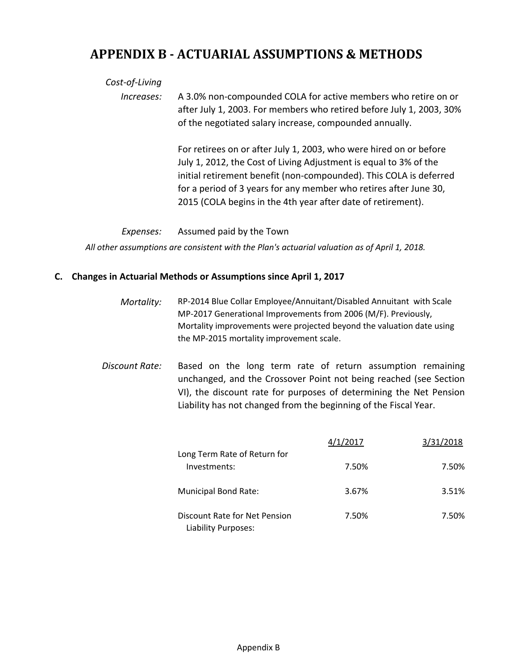## **APPENDIX B - ACTUARIAL ASSUMPTIONS & METHODS**

### *Cost-of-Living*

*Increases:* A 3.0% non-compounded COLA for active members who retire on or after July 1, 2003. For members who retired before July 1, 2003, 30% of the negotiated salary increase, compounded annually.

> For retirees on or after July 1, 2003, who were hired on or before July 1, 2012, the Cost of Living Adjustment is equal to 3% of the initial retirement benefit (non-compounded). This COLA is deferred for a period of 3 years for any member who retires after June 30, 2015 (COLA begins in the 4th year after date of retirement).

### *Expenses:* Assumed paid by the Town

*All other assumptions are consistent with the Plan's actuarial valuation as of April 1, 2018.*

### **C. Changes in Actuarial Methods or Assumptions since April 1, 2017**

- *Mortality:* RP-2014 Blue Collar Employee/Annuitant/Disabled Annuitant with Scale MP-2017 Generational Improvements from 2006 (M/F). Previously, Mortality improvements were projected beyond the valuation date using the MP-2015 mortality improvement scale.
- *Discount Rate:* Based on the long term rate of return assumption remaining unchanged, and the Crossover Point not being reached (see Section VI), the discount rate for purposes of determining the Net Pension Liability has not changed from the beginning of the Fiscal Year.

|                                                      | 4/1/2017 | 3/31/2018 |
|------------------------------------------------------|----------|-----------|
| Long Term Rate of Return for<br>Investments:         | 7.50%    | 7.50%     |
| Municipal Bond Rate:                                 | 3.67%    | 3.51%     |
| Discount Rate for Net Pension<br>Liability Purposes: | 7.50%    | 7.50%     |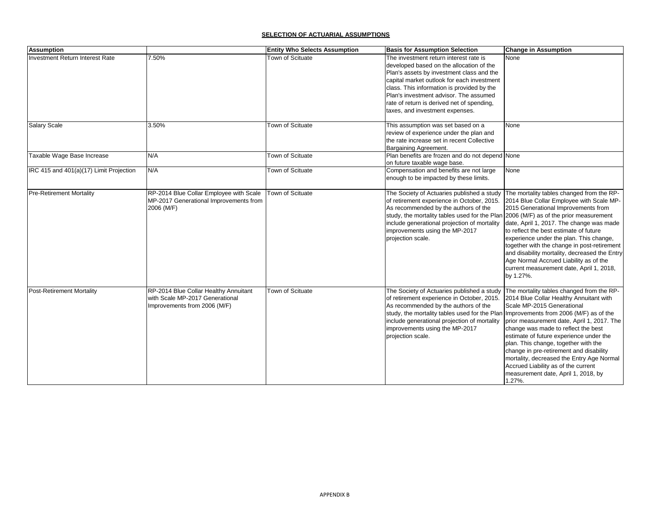#### **SELECTION OF ACTUARIAL ASSUMPTIONS**

| <b>Assumption</b>                       |                                         | <b>Entity Who Selects Assumption</b> | <b>Basis for Assumption Selection</b>                                                | <b>Change in Assumption</b>                   |
|-----------------------------------------|-----------------------------------------|--------------------------------------|--------------------------------------------------------------------------------------|-----------------------------------------------|
| <b>Investment Return Interest Rate</b>  | 7.50%                                   | Town of Scituate                     | The investment return interest rate is                                               | None                                          |
|                                         |                                         |                                      | developed based on the allocation of the                                             |                                               |
|                                         |                                         |                                      | Plan's assets by investment class and the                                            |                                               |
|                                         |                                         |                                      | capital market outlook for each investment                                           |                                               |
|                                         |                                         |                                      | class. This information is provided by the                                           |                                               |
|                                         |                                         |                                      | Plan's investment advisor. The assumed                                               |                                               |
|                                         |                                         |                                      | rate of return is derived net of spending,                                           |                                               |
|                                         |                                         |                                      | taxes, and investment expenses.                                                      |                                               |
| <b>Salary Scale</b>                     | 3.50%                                   | Town of Scituate                     | This assumption was set based on a                                                   | None                                          |
|                                         |                                         |                                      | review of experience under the plan and                                              |                                               |
|                                         |                                         |                                      | the rate increase set in recent Collective                                           |                                               |
|                                         |                                         |                                      | Bargaining Agreement.                                                                |                                               |
| Taxable Wage Base Increase              | N/A                                     | Town of Scituate                     | Plan benefits are frozen and do not depend None                                      |                                               |
|                                         |                                         |                                      | on future taxable wage base.                                                         |                                               |
| IRC 415 and 401(a)(17) Limit Projection | N/A                                     | Town of Scituate                     | Compensation and benefits are not large                                              | None                                          |
|                                         |                                         |                                      | enough to be impacted by these limits.                                               |                                               |
| <b>Pre-Retirement Mortality</b>         | RP-2014 Blue Collar Employee with Scale | <b>Town of Scituate</b>              | The Society of Actuaries published a study                                           | The mortality tables changed from the RP-     |
|                                         | MP-2017 Generational Improvements from  |                                      | of retirement experience in October, 2015.                                           | 2014 Blue Collar Employee with Scale MP-      |
|                                         | 2006 (M/F)                              |                                      | As recommended by the authors of the                                                 | 2015 Generational Improvements from           |
|                                         |                                         |                                      | study, the mortality tables used for the Plan 2006 (M/F) as of the prior measurement |                                               |
|                                         |                                         |                                      | include generational projection of mortality                                         | date, April 1, 2017. The change was made      |
|                                         |                                         |                                      | improvements using the MP-2017                                                       | to reflect the best estimate of future        |
|                                         |                                         |                                      | projection scale.                                                                    | experience under the plan. This change,       |
|                                         |                                         |                                      |                                                                                      | together with the change in post-retirement   |
|                                         |                                         |                                      |                                                                                      | and disability mortality, decreased the Entry |
|                                         |                                         |                                      |                                                                                      | Age Normal Accrued Liability as of the        |
|                                         |                                         |                                      |                                                                                      | current measurement date, April 1, 2018,      |
|                                         |                                         |                                      |                                                                                      | by 1.27%.                                     |
| <b>Post-Retirement Mortality</b>        | RP-2014 Blue Collar Healthy Annuitant   | Town of Scituate                     | The Society of Actuaries published a study                                           | The mortality tables changed from the RP-     |
|                                         | with Scale MP-2017 Generational         |                                      | of retirement experience in October, 2015.                                           | 2014 Blue Collar Healthy Annuitant with       |
|                                         | Improvements from 2006 (M/F)            |                                      | As recommended by the authors of the                                                 | Scale MP-2015 Generational                    |
|                                         |                                         |                                      | study, the mortality tables used for the Plan Improvements from 2006 (M/F) as of the |                                               |
|                                         |                                         |                                      | include generational projection of mortality                                         | prior measurement date, April 1, 2017. The    |
|                                         |                                         |                                      | improvements using the MP-2017                                                       | change was made to reflect the best           |
|                                         |                                         |                                      | projection scale.                                                                    | estimate of future experience under the       |
|                                         |                                         |                                      |                                                                                      | plan. This change, together with the          |
|                                         |                                         |                                      |                                                                                      | change in pre-retirement and disability       |
|                                         |                                         |                                      |                                                                                      | mortality, decreased the Entry Age Normal     |
|                                         |                                         |                                      |                                                                                      | Accrued Liability as of the current           |
|                                         |                                         |                                      |                                                                                      | measurement date, April 1, 2018, by           |
|                                         |                                         |                                      |                                                                                      | 1.27%.                                        |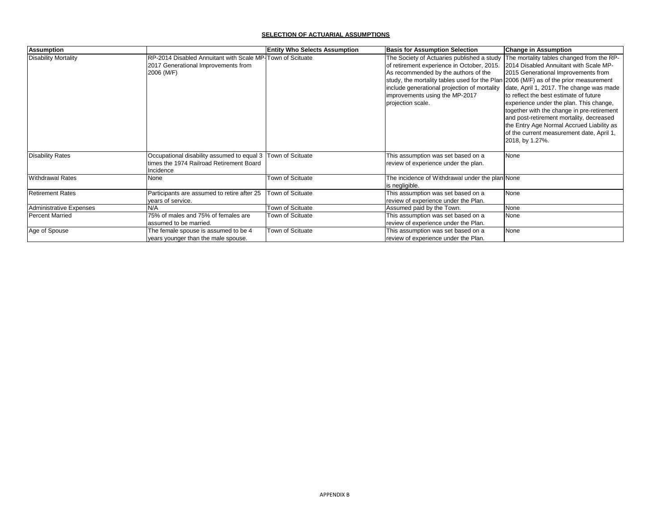#### **SELECTION OF ACTUARIAL ASSUMPTIONS**

| <b>Assumption</b>           |                                                                                                                         | <b>Entity Who Selects Assumption</b> | <b>Basis for Assumption Selection</b>                                                                                                                                                                                                                                                                                           | <b>Change in Assumption</b>                                                                                                                                                                                                                                                                                                                                                                                                                                        |
|-----------------------------|-------------------------------------------------------------------------------------------------------------------------|--------------------------------------|---------------------------------------------------------------------------------------------------------------------------------------------------------------------------------------------------------------------------------------------------------------------------------------------------------------------------------|--------------------------------------------------------------------------------------------------------------------------------------------------------------------------------------------------------------------------------------------------------------------------------------------------------------------------------------------------------------------------------------------------------------------------------------------------------------------|
| <b>Disability Mortality</b> | RP-2014 Disabled Annuitant with Scale MP-Town of Scituate<br>2017 Generational Improvements from<br>2006 (M/F)          |                                      | The Society of Actuaries published a study<br>of retirement experience in October, 2015.<br>As recommended by the authors of the<br>study, the mortality tables used for the Plan 2006 (M/F) as of the prior measurement<br>include generational projection of mortality<br>improvements using the MP-2017<br>projection scale. | The mortality tables changed from the RP-<br>2014 Disabled Annuitant with Scale MP-<br>2015 Generational Improvements from<br>date, April 1, 2017. The change was made<br>to reflect the best estimate of future<br>experience under the plan. This change,<br>together with the change in pre-retirement<br>and post-retirement mortality, decreased<br>the Entry Age Normal Accrued Liability as<br>of the current measurement date, April 1,<br>2018, by 1.27%. |
| <b>Disability Rates</b>     | Occupational disability assumed to equal 3   Town of Scituate<br>Itimes the 1974 Railroad Retirement Board<br>Incidence |                                      | This assumption was set based on a<br>review of experience under the plan.                                                                                                                                                                                                                                                      | None                                                                                                                                                                                                                                                                                                                                                                                                                                                               |
| <b>Withdrawal Rates</b>     | None                                                                                                                    | Town of Scituate                     | The incidence of Withdrawal under the plan None<br>is negligible.                                                                                                                                                                                                                                                               |                                                                                                                                                                                                                                                                                                                                                                                                                                                                    |
| <b>Retirement Rates</b>     | Participants are assumed to retire after 25<br>years of service.                                                        | Town of Scituate                     | This assumption was set based on a<br>review of experience under the Plan.                                                                                                                                                                                                                                                      | None                                                                                                                                                                                                                                                                                                                                                                                                                                                               |
| Administrative Expenses     | N/A                                                                                                                     | Town of Scituate                     | Assumed paid by the Town.                                                                                                                                                                                                                                                                                                       | None                                                                                                                                                                                                                                                                                                                                                                                                                                                               |
| <b>Percent Married</b>      | 75% of males and 75% of females are<br>assumed to be married.                                                           | Town of Scituate                     | This assumption was set based on a<br>review of experience under the Plan.                                                                                                                                                                                                                                                      | None                                                                                                                                                                                                                                                                                                                                                                                                                                                               |
| Age of Spouse               | The female spouse is assumed to be 4<br>years younger than the male spouse.                                             | Town of Scituate                     | This assumption was set based on a<br>review of experience under the Plan.                                                                                                                                                                                                                                                      | None                                                                                                                                                                                                                                                                                                                                                                                                                                                               |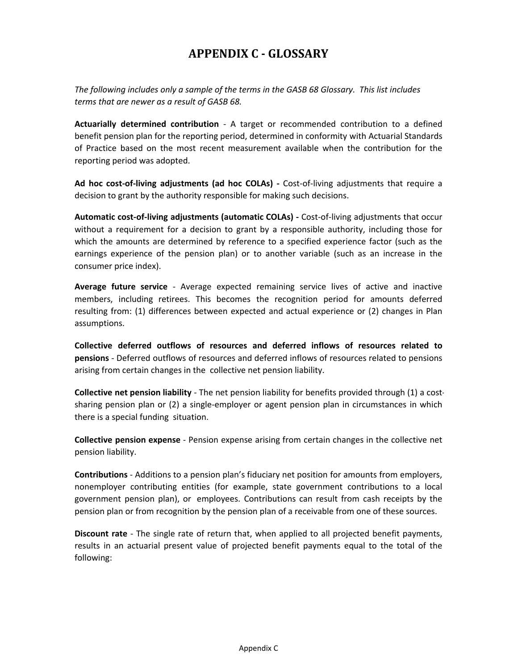## **APPENDIX C - GLOSSARY**

*The following includes only a sample of the terms in the GASB 68 Glossary. This list includes terms that are newer as a result of GASB 68.*

**Actuarially determined contribution** - A target or recommended contribution to a defined benefit pension plan for the reporting period, determined in conformity with Actuarial Standards of Practice based on the most recent measurement available when the contribution for the reporting period was adopted.

**Ad hoc cost-of-living adjustments (ad hoc COLAs) -** Cost-of-living adjustments that require a decision to grant by the authority responsible for making such decisions.

**Automatic cost-of-living adjustments (automatic COLAs) -** Cost-of-living adjustments that occur without a requirement for a decision to grant by a responsible authority, including those for which the amounts are determined by reference to a specified experience factor (such as the earnings experience of the pension plan) or to another variable (such as an increase in the consumer price index).

**Average future service** - Average expected remaining service lives of active and inactive members, including retirees. This becomes the recognition period for amounts deferred resulting from: (1) differences between expected and actual experience or (2) changes in Plan assumptions.

**Collective deferred outflows of resources and deferred inflows of resources related to pensions** - Deferred outflows of resources and deferred inflows of resources related to pensions arising from certain changes in the collective net pension liability.

**Collective net pension liability** - The net pension liability for benefits provided through (1) a costsharing pension plan or (2) a single-employer or agent pension plan in circumstances in which there is a special funding situation.

**Collective pension expense** - Pension expense arising from certain changes in the collective net pension liability.

**Contributions** - Additions to a pension plan's fiduciary net position for amounts from employers, nonemployer contributing entities (for example, state government contributions to a local government pension plan), or employees. Contributions can result from cash receipts by the pension plan or from recognition by the pension plan of a receivable from one of these sources.

**Discount rate** - The single rate of return that, when applied to all projected benefit payments, results in an actuarial present value of projected benefit payments equal to the total of the following: